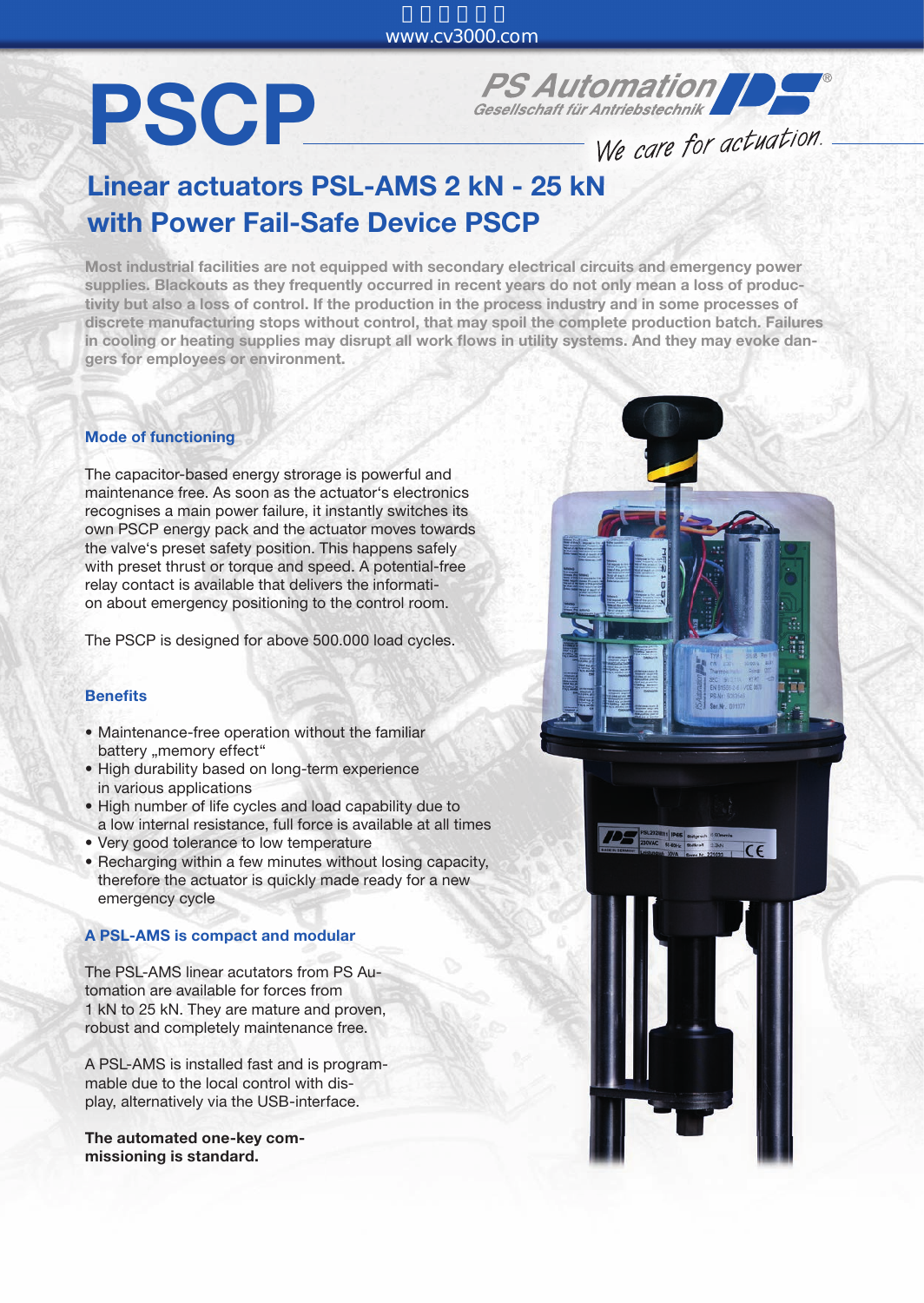## PSCP

**PS Automation** 

We care for actuation.

### Linear actuators PSL-AMS 2 kN - 25 kN with Power Fail-Safe Device PSCP

Most industrial facilities are not equipped with secondary electrical circuits and emergency power supplies. Blackouts as they frequently occurred in recent years do not only mean a loss of productivity but also a loss of control. If the production in the process industry and in some processes of discrete manufacturing stops without control, that may spoil the complete production batch. Failures in cooling or heating supplies may disrupt all work flows in utility systems. And they may evoke dangers for employees or environment.

#### Mode of functioning

The capacitor-based energy strorage is powerful and maintenance free. As soon as the actuator's electronics recognises a main power failure, it instantly switches its own PSCP energy pack and the actuator moves towards the valve's preset safety position. This happens safely with preset thrust or torque and speed. A potential-free relay contact is available that delivers the information about emergency positioning to the control room.

The PSCP is designed for above 500.000 load cycles.

#### **Benefits**

- Maintenance-free operation without the familiar battery "memory effect"
- High durability based on long-term experience in various applications
- High number of life cycles and load capability due to a low internal resistance, full force is available at all times
- Very good tolerance to low temperature
- Recharging within a few minutes without losing capacity, therefore the actuator is quickly made ready for a new emergency cycle

#### A PSL-AMS is compact and modular

The PSL-AMS linear acutators from PS Automation are available for forces from 1 kN to 25 kN. They are mature and proven, robust and completely maintenance free.

A PSL-AMS is installed fast and is programmable due to the local control with display, alternatively via the USB-interface.

The automated one-key commissioning is standard.